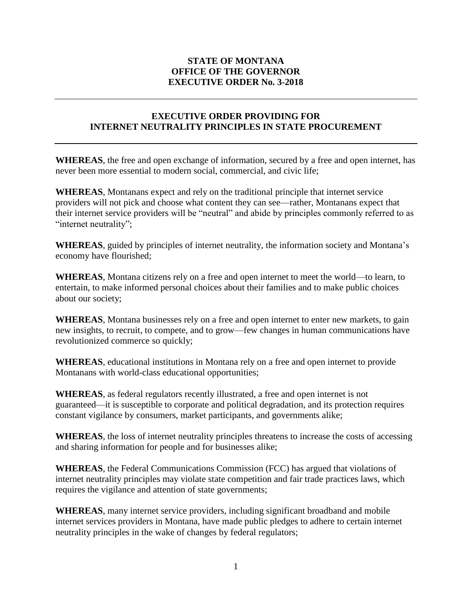## **STATE OF MONTANA OFFICE OF THE GOVERNOR EXECUTIVE ORDER No. 3-2018**

## **EXECUTIVE ORDER PROVIDING FOR INTERNET NEUTRALITY PRINCIPLES IN STATE PROCUREMENT**

**WHEREAS**, the free and open exchange of information, secured by a free and open internet, has never been more essential to modern social, commercial, and civic life;

**WHEREAS**, Montanans expect and rely on the traditional principle that internet service providers will not pick and choose what content they can see—rather, Montanans expect that their internet service providers will be "neutral" and abide by principles commonly referred to as "internet neutrality";

**WHEREAS**, guided by principles of internet neutrality, the information society and Montana's economy have flourished;

**WHEREAS**, Montana citizens rely on a free and open internet to meet the world—to learn, to entertain, to make informed personal choices about their families and to make public choices about our society;

**WHEREAS**, Montana businesses rely on a free and open internet to enter new markets, to gain new insights, to recruit, to compete, and to grow—few changes in human communications have revolutionized commerce so quickly;

**WHEREAS**, educational institutions in Montana rely on a free and open internet to provide Montanans with world-class educational opportunities;

**WHEREAS**, as federal regulators recently illustrated, a free and open internet is not guaranteed—it is susceptible to corporate and political degradation, and its protection requires constant vigilance by consumers, market participants, and governments alike;

**WHEREAS**, the loss of internet neutrality principles threatens to increase the costs of accessing and sharing information for people and for businesses alike;

**WHEREAS**, the Federal Communications Commission (FCC) has argued that violations of internet neutrality principles may violate state competition and fair trade practices laws, which requires the vigilance and attention of state governments;

**WHEREAS**, many internet service providers, including significant broadband and mobile internet services providers in Montana, have made public pledges to adhere to certain internet neutrality principles in the wake of changes by federal regulators;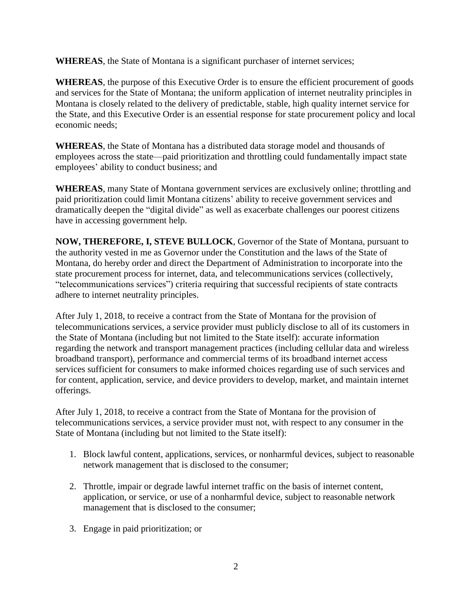**WHEREAS**, the State of Montana is a significant purchaser of internet services;

**WHEREAS**, the purpose of this Executive Order is to ensure the efficient procurement of goods and services for the State of Montana; the uniform application of internet neutrality principles in Montana is closely related to the delivery of predictable, stable, high quality internet service for the State, and this Executive Order is an essential response for state procurement policy and local economic needs;

**WHEREAS**, the State of Montana has a distributed data storage model and thousands of employees across the state—paid prioritization and throttling could fundamentally impact state employees' ability to conduct business; and

**WHEREAS**, many State of Montana government services are exclusively online; throttling and paid prioritization could limit Montana citizens' ability to receive government services and dramatically deepen the "digital divide" as well as exacerbate challenges our poorest citizens have in accessing government help.

**NOW, THEREFORE, I, STEVE BULLOCK**, Governor of the State of Montana, pursuant to the authority vested in me as Governor under the Constitution and the laws of the State of Montana, do hereby order and direct the Department of Administration to incorporate into the state procurement process for internet, data, and telecommunications services (collectively, "telecommunications services") criteria requiring that successful recipients of state contracts adhere to internet neutrality principles.

After July 1, 2018, to receive a contract from the State of Montana for the provision of telecommunications services, a service provider must publicly disclose to all of its customers in the State of Montana (including but not limited to the State itself): accurate information regarding the network and transport management practices (including cellular data and wireless broadband transport), performance and commercial terms of its broadband internet access services sufficient for consumers to make informed choices regarding use of such services and for content, application, service, and device providers to develop, market, and maintain internet offerings.

After July 1, 2018, to receive a contract from the State of Montana for the provision of telecommunications services, a service provider must not, with respect to any consumer in the State of Montana (including but not limited to the State itself):

- 1. Block lawful content, applications, services, or nonharmful devices, subject to reasonable network management that is disclosed to the consumer;
- 2. Throttle, impair or degrade lawful internet traffic on the basis of internet content, application, or service, or use of a nonharmful device, subject to reasonable network management that is disclosed to the consumer;
- 3. Engage in paid prioritization; or